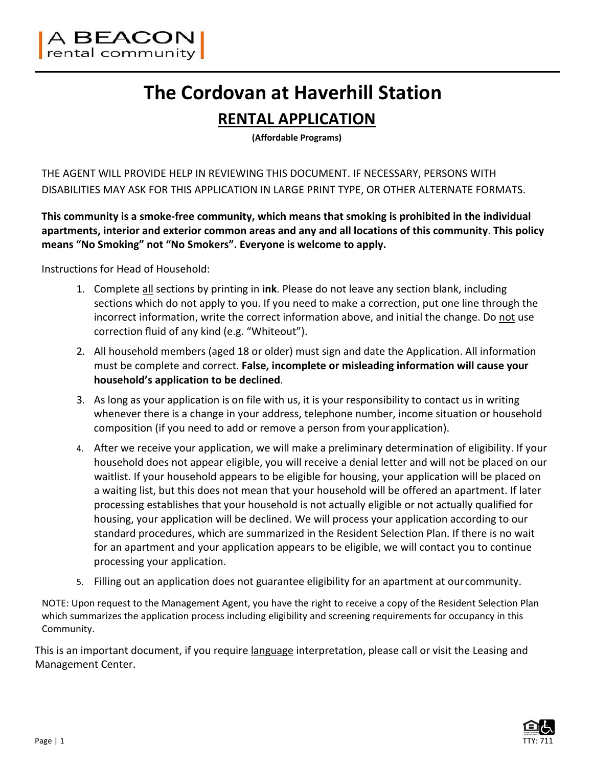

# **The Cordovan at Haverhill Station**

### **RENTAL APPLICATION**

**(Affordable Programs)**

THE AGENT WILL PROVIDE HELP IN REVIEWING THIS DOCUMENT. IF NECESSARY, PERSONS WITH DISABILITIES MAY ASK FOR THIS APPLICATION IN LARGE PRINT TYPE, OR OTHER ALTERNATE FORMATS.

**This community is a smoke‐free community, which means that smoking is prohibited in the individual apartments, interior and exterior common areas and any and all locations of this community**. **This policy means "No Smoking" not "No Smokers". Everyone is welcome to apply.**

Instructions for Head of Household:

- 1. Complete all sections by printing in **ink**. Please do not leave any section blank, including sections which do not apply to you. If you need to make a correction, put one line through the incorrect information, write the correct information above, and initial the change. Do not use correction fluid of any kind (e.g. "Whiteout").
- 2. All household members (aged 18 or older) must sign and date the Application. All information must be complete and correct. **False, incomplete or misleading information will cause your household's application to be declined**.
- 3. As long as your application is on file with us, it is your responsibility to contact us in writing whenever there is a change in your address, telephone number, income situation or household composition (if you need to add or remove a person from yourapplication).
- 4. After we receive your application, we will make a preliminary determination of eligibility. If your household does not appear eligible, you will receive a denial letter and will not be placed on our waitlist. If your household appears to be eligible for housing, your application will be placed on a waiting list, but this does not mean that your household will be offered an apartment. If later processing establishes that your household is not actually eligible or not actually qualified for housing, your application will be declined. We will process your application according to our standard procedures, which are summarized in the Resident Selection Plan. If there is no wait for an apartment and your application appears to be eligible, we will contact you to continue processing your application.
- 5. Filling out an application does not guarantee eligibility for an apartment at ourcommunity.

NOTE: Upon request to the Management Agent, you have the right to receive a copy of the Resident Selection Plan which summarizes the application process including eligibility and screening requirements for occupancy in this Community.

This is an important document, if you require language interpretation, please call or visit the Leasing and Management Center.

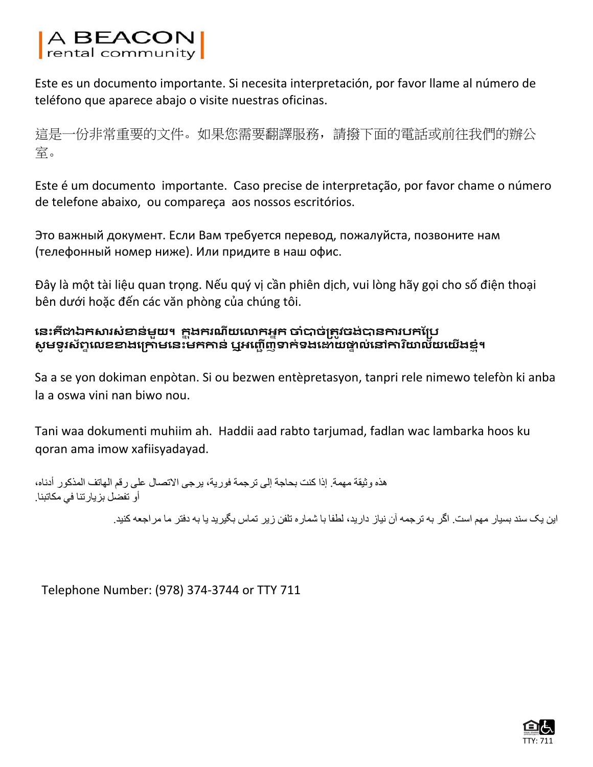# A BEACON<br>rental community

Este es un documento importante. Si necesita interpretación, por favor llame al número de teléfono que aparece abajo o visite nuestras oficinas.

這是一份非常重要的文件。如果您需要翻譯服務,請撥下面的電話或前往我們的辦公 室。

Este é um documento importante. Caso precise de interpretação, por favor chame o número de telefone abaixo, ou compareça aos nossos escritórios.

Это важный документ. Если Вам требуется перевод, пожалуйста, позвоните нам (телефонный номер ниже). Или придите в наш офис.

Đây là một tài liệu quan trọng. Nếu quý vị cần phiên dịch, vui lòng hãy gọi cho số điện thoại bên dưới hoặc đến các văn phòng của chúng tôi.

#### **េនះគឺជាឯកសារសំខាន់មួយ។ កន ុងករណីយេលាកអនក ចាំបាច់រតវចង ូ ់បានការបកែរប** សូមទូរស័ព្ទលេខខាងក្រោមនេះមកកាន់ ឬអញ្ជើញទាក់ទងដោយផ្ទាល់នៅការិយាល័យយើងខ្ញុំ។

Sa a se yon dokiman enpòtan. Si ou bezwen entèpretasyon, tanpri rele nimewo telefòn ki anba la a oswa vini nan biwo nou.

Tani waa dokumenti muhiim ah. Haddii aad rabto tarjumad, fadlan wac lambarka hoos ku qoran ama imow xafiisyadayad.

ھذه وثيقة مھمة. إذا كنت بحاجة إلى ترجمة فورية، يرجى االتصال على رقم الھاتف المذكور أدناه، أو تفضل بزيارتنا في مكاتبنا.

اين يک سند بسيار مھم است. اگر به ترجمه آن نياز داريد، لطفا با شماره تلفن زير تماس بگيريد يا به دفتر ما مراجعه کنيد.

Telephone Number: (978) 374‐3744 or TTY 711

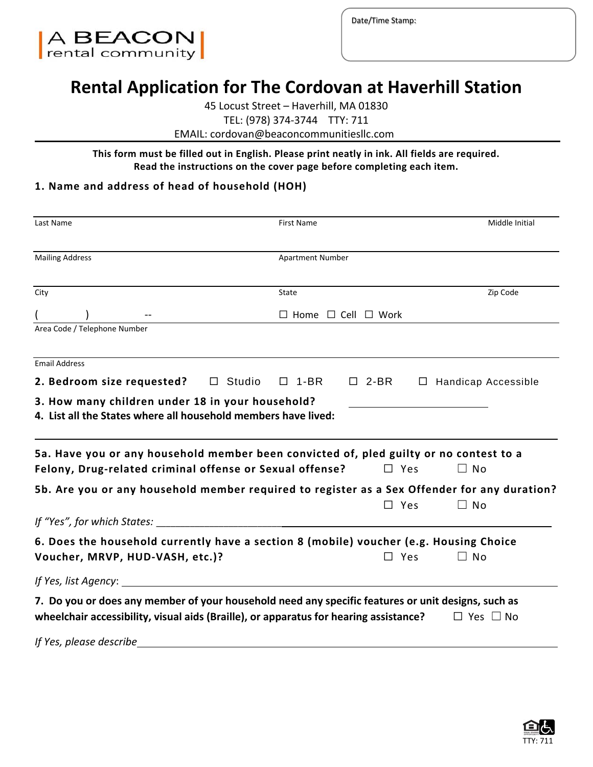

Date/Time Stamp:

## **Rental Application for The Cordovan at Haverhill Station**

45 Locust Street – Haverhill, MA 01830

TEL: (978) 374‐3744 TTY: 711

EMAIL: cordovan@beaconcommunitiesllc.com

**This form must be filled out in English. Please print neatly in ink. All fields are required. Read the instructions on the cover page before completing each item.**

#### **1. Name and address of head of household (HOH)**

| Last Name                                                                                                                                                                                   |               | First Name                          |               |           | Middle Initial             |
|---------------------------------------------------------------------------------------------------------------------------------------------------------------------------------------------|---------------|-------------------------------------|---------------|-----------|----------------------------|
| <b>Mailing Address</b>                                                                                                                                                                      |               | <b>Apartment Number</b>             |               |           |                            |
| City                                                                                                                                                                                        |               | State                               |               |           | Zip Code                   |
|                                                                                                                                                                                             |               | $\Box$ Home $\Box$ Cell $\Box$ Work |               |           |                            |
| Area Code / Telephone Number                                                                                                                                                                |               |                                     |               |           |                            |
| <b>Email Address</b>                                                                                                                                                                        |               |                                     |               |           |                            |
| 2. Bedroom size requested?                                                                                                                                                                  | $\Box$ Studio | $\Box$ 1-BR                         | $\Box$ 2-BR   |           | $\Box$ Handicap Accessible |
| 5a. Have you or any household member been convicted of, pled guilty or no contest to a<br>Felony, Drug-related criminal offense or Sexual offense?                                          |               |                                     | $\square$ Yes | $\Box$ No |                            |
| 5b. Are you or any household member required to register as a Sex Offender for any duration?                                                                                                |               |                                     | $\square$ Yes | $\Box$ No |                            |
| If "Yes", for which States:                                                                                                                                                                 |               |                                     |               |           |                            |
| 6. Does the household currently have a section 8 (mobile) voucher (e.g. Housing Choice<br>Voucher, MRVP, HUD-VASH, etc.)?                                                                   |               |                                     | $\Box$ Yes    | $\Box$ No |                            |
| If Yes, list Agency:                                                                                                                                                                        |               |                                     |               |           |                            |
| 7. Do you or does any member of your household need any specific features or unit designs, such as<br>wheelchair accessibility, visual aids (Braille), or apparatus for hearing assistance? |               |                                     |               |           | $\Box$ Yes $\Box$ No       |
| If Yes, please describe                                                                                                                                                                     |               |                                     |               |           |                            |

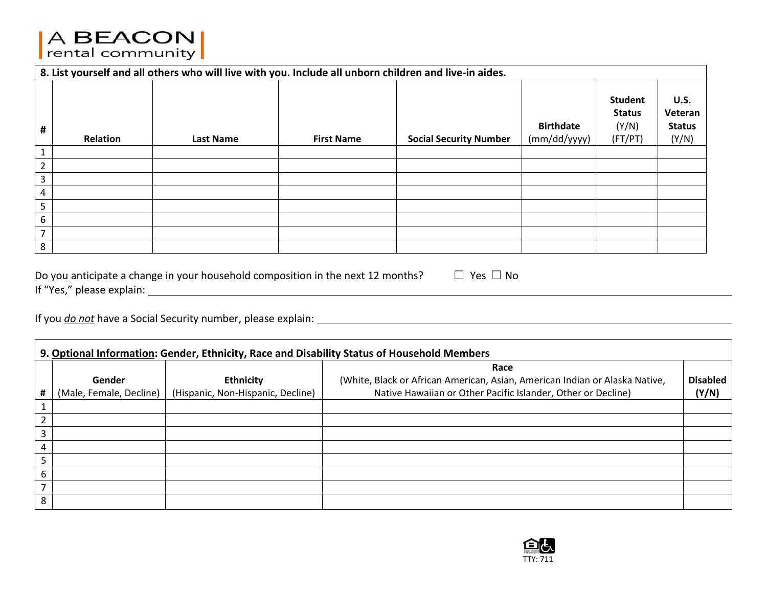# A BEACON

|                | 8. List yourself and all others who will live with you. Include all unborn children and live-in aides. |                  |                   |                               |                                  |                                                     |                                                  |
|----------------|--------------------------------------------------------------------------------------------------------|------------------|-------------------|-------------------------------|----------------------------------|-----------------------------------------------------|--------------------------------------------------|
| #              | Relation                                                                                               | <b>Last Name</b> | <b>First Name</b> | <b>Social Security Number</b> | <b>Birthdate</b><br>(mm/dd/yyyy) | <b>Student</b><br><b>Status</b><br>(Y/N)<br>(FT/PT) | <b>U.S.</b><br>Veteran<br><b>Status</b><br>(Y/N) |
|                |                                                                                                        |                  |                   |                               |                                  |                                                     |                                                  |
| $\overline{2}$ |                                                                                                        |                  |                   |                               |                                  |                                                     |                                                  |
| 3              |                                                                                                        |                  |                   |                               |                                  |                                                     |                                                  |
| 4              |                                                                                                        |                  |                   |                               |                                  |                                                     |                                                  |
| 5              |                                                                                                        |                  |                   |                               |                                  |                                                     |                                                  |
| 6              |                                                                                                        |                  |                   |                               |                                  |                                                     |                                                  |
| $\overline{7}$ |                                                                                                        |                  |                   |                               |                                  |                                                     |                                                  |
| 8              |                                                                                                        |                  |                   |                               |                                  |                                                     |                                                  |

Do you anticipate a change in your household composition in the next 12 months?  $\Box\ \,$  Yes  $\Box\,$  No If "Yes," please explain:

If you *do not* have <sup>a</sup> Social Security number, please explain:

 $\blacksquare$ 

|                          | 9. Optional Information: Gender, Ethnicity, Race and Disability Status of Household Members |                                   |                                                                             |                 |  |  |
|--------------------------|---------------------------------------------------------------------------------------------|-----------------------------------|-----------------------------------------------------------------------------|-----------------|--|--|
|                          |                                                                                             |                                   | Race                                                                        |                 |  |  |
|                          | Gender                                                                                      | <b>Ethnicity</b>                  | (White, Black or African American, Asian, American Indian or Alaska Native, | <b>Disabled</b> |  |  |
| #                        | (Male, Female, Decline)                                                                     | (Hispanic, Non-Hispanic, Decline) | Native Hawaiian or Other Pacific Islander, Other or Decline)                | (Y/N)           |  |  |
|                          |                                                                                             |                                   |                                                                             |                 |  |  |
|                          |                                                                                             |                                   |                                                                             |                 |  |  |
| 3                        |                                                                                             |                                   |                                                                             |                 |  |  |
| 4                        |                                                                                             |                                   |                                                                             |                 |  |  |
| 5                        |                                                                                             |                                   |                                                                             |                 |  |  |
| 6                        |                                                                                             |                                   |                                                                             |                 |  |  |
| $\overline{\phantom{a}}$ |                                                                                             |                                   |                                                                             |                 |  |  |
| 8                        |                                                                                             |                                   |                                                                             |                 |  |  |

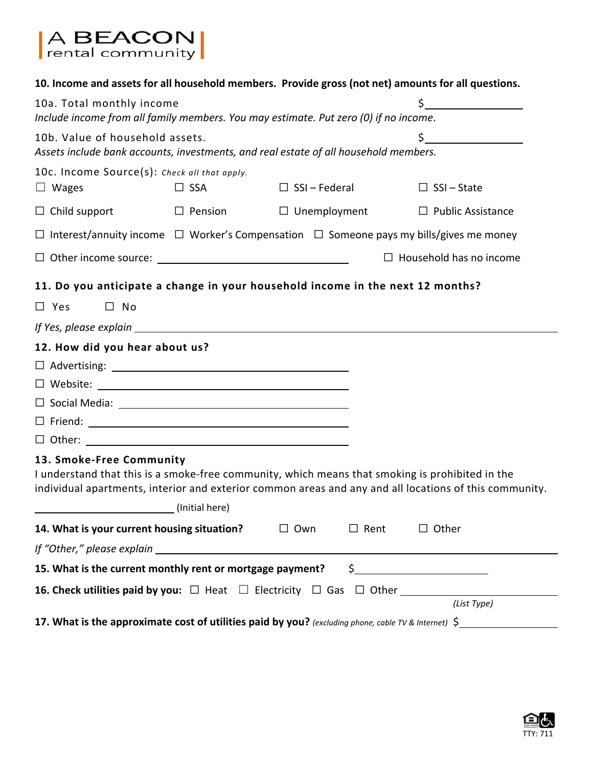| A BEACON<br>rental community                                 |                           |                                                                                                         |                                                                                                                     |  |  |  |
|--------------------------------------------------------------|---------------------------|---------------------------------------------------------------------------------------------------------|---------------------------------------------------------------------------------------------------------------------|--|--|--|
|                                                              |                           |                                                                                                         | 10. Income and assets for all household members. Provide gross (not net) amounts for all questions.                 |  |  |  |
|                                                              | 10a. Total monthly income |                                                                                                         |                                                                                                                     |  |  |  |
|                                                              |                           | Include income from all family members. You may estimate. Put zero (0) if no income.                    |                                                                                                                     |  |  |  |
| 10b. Value of household assets.                              |                           | Assets include bank accounts, investments, and real estate of all household members.                    |                                                                                                                     |  |  |  |
| 10c. Income Source(s): Check all that apply.<br>$\Box$ Wages | $\square$ SSA             | $\Box$ SSI – Federal                                                                                    | $\Box$ SSI – State                                                                                                  |  |  |  |
| $\Box$ Child support                                         |                           | $\Box$ Pension $\Box$ Unemployment $\Box$ Public Assistance                                             |                                                                                                                     |  |  |  |
|                                                              |                           | $\Box$ Interest/annuity income $\Box$ Worker's Compensation $\Box$ Someone pays my bills/gives me money |                                                                                                                     |  |  |  |
|                                                              |                           |                                                                                                         | $\Box$ Household has no income                                                                                      |  |  |  |
|                                                              |                           | 11. Do you anticipate a change in your household income in the next 12 months?                          |                                                                                                                     |  |  |  |
| $\square$ No<br>$\Box$ Yes                                   |                           |                                                                                                         |                                                                                                                     |  |  |  |
|                                                              |                           |                                                                                                         |                                                                                                                     |  |  |  |
| 12. How did you hear about us?                               |                           |                                                                                                         |                                                                                                                     |  |  |  |
|                                                              |                           |                                                                                                         |                                                                                                                     |  |  |  |
|                                                              |                           |                                                                                                         |                                                                                                                     |  |  |  |
|                                                              |                           |                                                                                                         |                                                                                                                     |  |  |  |
|                                                              |                           |                                                                                                         |                                                                                                                     |  |  |  |
|                                                              |                           |                                                                                                         |                                                                                                                     |  |  |  |
| 13. Smoke-Free Community<br>(Initial here) (Initial here)    |                           | I understand that this is a smoke-free community, which means that smoking is prohibited in the         | individual apartments, interior and exterior common areas and any and all locations of this community.              |  |  |  |
| 14. What is your current housing situation?                  |                           | $\Box$ Own<br>$\Box$ Rent                                                                               | $\Box$ Other                                                                                                        |  |  |  |
|                                                              |                           |                                                                                                         |                                                                                                                     |  |  |  |
|                                                              |                           | 15. What is the current monthly rent or mortgage payment? \$                                            |                                                                                                                     |  |  |  |
|                                                              |                           |                                                                                                         |                                                                                                                     |  |  |  |
|                                                              |                           |                                                                                                         | (List Type)<br>17. What is the approximate cost of utilities paid by you? (excluding phone, cable TV & Internet) \$ |  |  |  |

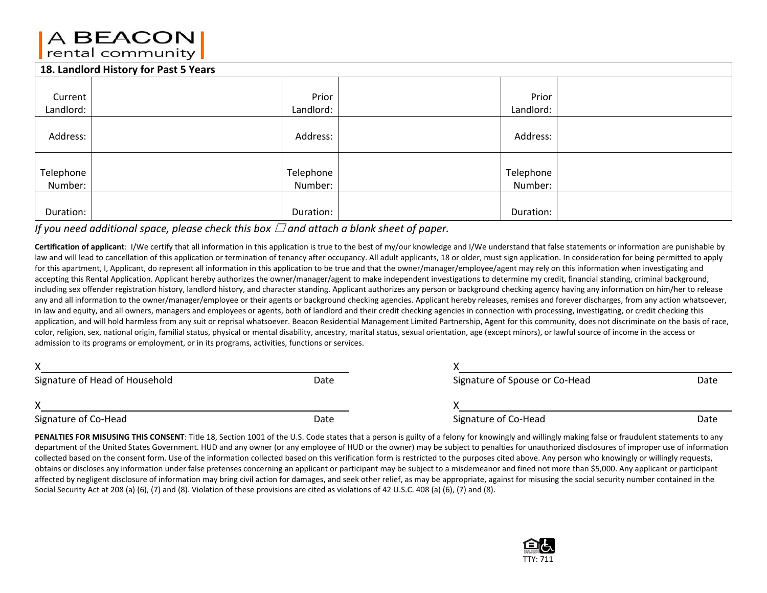### A BEACON rental community

#### **18. LandlordHistory for Past 5 Years**

| <b>10. Langioru mistory for Past 5 rears</b> |           |           |  |  |  |
|----------------------------------------------|-----------|-----------|--|--|--|
|                                              |           |           |  |  |  |
| Current                                      | Prior     | Prior     |  |  |  |
| Landlord:                                    | Landlord: | Landlord: |  |  |  |
| Address:                                     | Address:  | Address:  |  |  |  |
|                                              |           |           |  |  |  |
| Telephone                                    | Telephone | Telephone |  |  |  |
| Number:                                      | Number:   | Number:   |  |  |  |
|                                              |           |           |  |  |  |
| Duration:                                    | Duration: | Duration: |  |  |  |

#### *If you need additional space, please check this box* ☐ *and attach <sup>a</sup> blank sheet of paper.*

**Certification of applicant**: I/We certify that all information in this application is true to the best of my/our knowledge and I/We understand that false statements or information are punishable by law and will lead to cancellation of this application or termination of tenancy after occupancy. All adult applicants, 18 or older, must sign application. In consideration for being permitted to apply for this apartment, I, Applicant, do represent all information in this application to be true and that the owner/manager/employee/agent may rely on this information when investigating and accepting this Rental Application. Applicant hereby authorizes the owner/manager/agent to make independent investigations to determine my credit, financial standing, criminal background, including sex offender registration history, landlord history, and character standing. Applicant authorizes any person or background checking agency having any information on him/her to release any and all information to the owner/manager/employee or their agents or background checking agencies. Applicant hereby releases, remises and forever discharges, from any action whatsoever, in law and equity, and all owners, managers and employees or agents, both of landlord and their credit checking agencies in connection with processing, investigating, or credit checking this application, and will hold harmless from any suit or reprisal whatsoever. Beacon Residential Management Limited Partnership, Agent for this community, does not discriminate on the basis of race, color, religion, sex, national origin, familial status, physical or mental disability, ancestry, marital status, sexual orientation, age (except minors), or lawful source of income in the access or admission to its programs or employment, or in its programs, activities, functions or services.

| Signature of Head of Household | Date | Signature of Spouse or Co-Head | Date |
|--------------------------------|------|--------------------------------|------|
|                                |      |                                |      |
| Signature of Co-Head           | Date | Signature of Co-Head           | Date |

PENALTIES FOR MISUSING THIS CONSENT: Title 18, Section 1001 of the U.S. Code states that a person is guilty of a felony for knowingly and willingly making false or fraudulent statements to any department of the United States Government. HUD and any owner (or any employee of HUD or the owner) may be subject to penalties for unauthorized disclosures of improper use of information collected based on the consent form. Use of the information collected based on this verification form is restricted to the purposes cited above. Any person who knowingly or willingly requests, obtains or discloses any information under false pretenses concerning an applicant or participant may be subject to <sup>a</sup> misdemeanor and fined not more than \$5,000. Any applicant or participant affected by negligent disclosure of information may bring civil action for damages, and seek other relief, as may be appropriate, against for misusing the social security number contained in the Social Security Act at 208 (a) (6), (7) and (8). Violation of these provisions are cited as violations of 42 U.S.C. 408 (a) (6), (7) and (8).

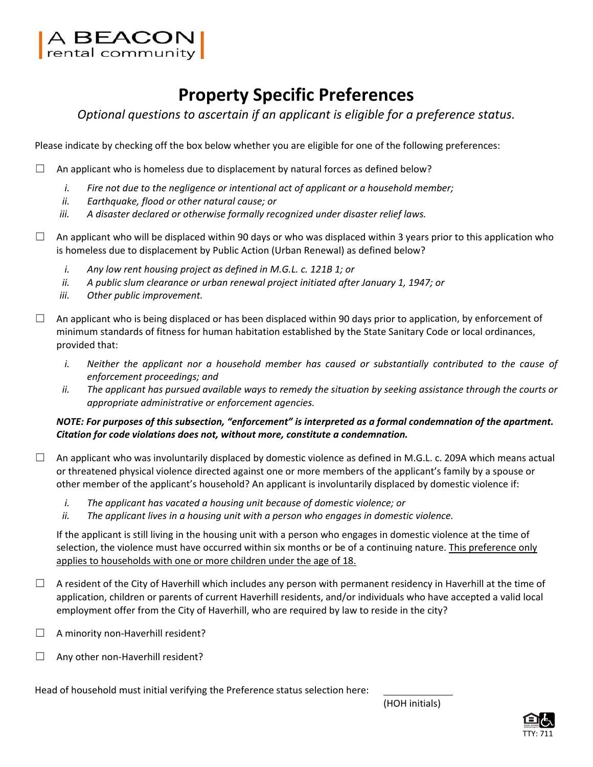

# **Property Specific Preferences**

*Optional questions to ascertain if an applicant is eligible for a preference status.*

Please indicate by checking off the box below whether you are eligible for one of the following preferences:

 $\Box$  An applicant who is homeless due to displacement by natural forces as defined below?

- *i. Fire not due to the negligence or intentional act of applicant or a household member;*
- *ii. Earthquake, flood or other natural cause; or*
- *iii. A disaster declared or otherwise formally recognized under disaster relief laws.*
- $\Box$  An applicant who will be displaced within 90 days or who was displaced within 3 years prior to this application who is homeless due to displacement by Public Action (Urban Renewal) as defined below?
	- *i. Any low rent housing project as defined in M.G.L. c. 121B 1; or*
	- *ii. A public slum clearance or urban renewal project initiated after January 1, 1947; or*
	- *iii. Other public improvement.*
- $\Box$  An applicant who is being displaced or has been displaced within 90 days prior to application, by enforcement of minimum standards of fitness for human habitation established by the State Sanitary Code or local ordinances, provided that:
	- *i. Neither the applicant nor a household member has caused or substantially contributed to the cause of enforcement proceedings; and*
	- ii. The applicant has pursued available ways to remedy the situation by seeking assistance through the courts or *appropriate administrative or enforcement agencies.*

*NOTE: For purposes of this subsection, "enforcement" is interpreted as a formal condemnation of the apartment. Citation for code violations does not, without more, constitute a condemnation.*

- $\Box$  An applicant who was involuntarily displaced by domestic violence as defined in M.G.L. c. 209A which means actual or threatened physical violence directed against one or more members of the applicant's family by a spouse or other member of the applicant's household? An applicant is involuntarily displaced by domestic violence if:
	- *i. The applicant has vacated a housing unit because of domestic violence; or*
	- *ii. The applicant lives in a housing unit with a person who engages in domestic violence.*

If the applicant is still living in the housing unit with a person who engages in domestic violence at the time of selection, the violence must have occurred within six months or be of a continuing nature. This preference only applies to households with one or more children under the age of 18.

- $\Box$  A resident of the City of Haverhill which includes any person with permanent residency in Haverhill at the time of application, children or parents of current Haverhill residents, and/or individuals who have accepted a valid local employment offer from the City of Haverhill, who are required by law to reside in the city?
- $\Box$  A minority non-Haverhill resident?
- ☐ Any other non‐Haverhill resident?

Head of household must initial verifying the Preference status selection here:

(HOH initials)

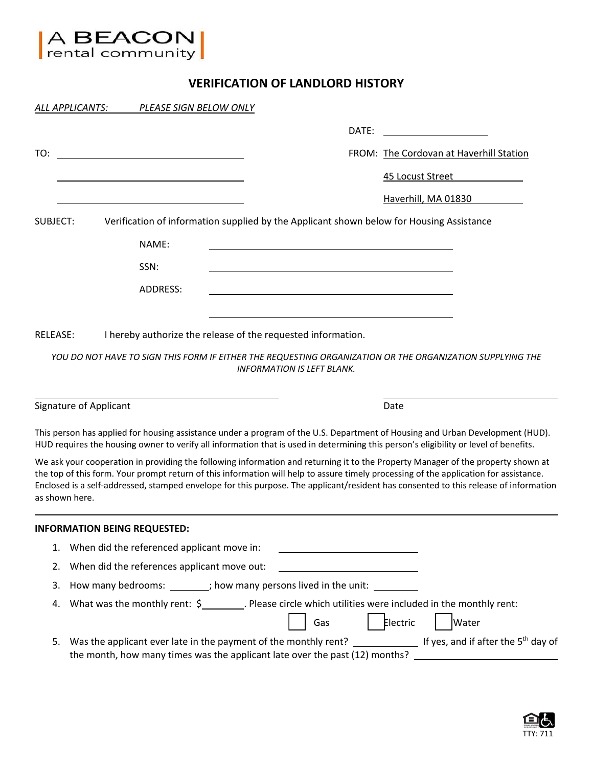

#### **VERIFICATION OF LANDLORD HISTORY**

|                 | ALL APPLICANTS:<br>PLEASE SIGN BELOW ONLY                                                                                                                                                                                                                                                                                                                                                                                           |                                         |
|-----------------|-------------------------------------------------------------------------------------------------------------------------------------------------------------------------------------------------------------------------------------------------------------------------------------------------------------------------------------------------------------------------------------------------------------------------------------|-----------------------------------------|
|                 | DATE:                                                                                                                                                                                                                                                                                                                                                                                                                               |                                         |
| TO:             | <u> 1980 - Johann Stein, fransk politik (d. 1980)</u>                                                                                                                                                                                                                                                                                                                                                                               | FROM: The Cordovan at Haverhill Station |
|                 |                                                                                                                                                                                                                                                                                                                                                                                                                                     | 45 Locust Street                        |
|                 |                                                                                                                                                                                                                                                                                                                                                                                                                                     | Haverhill, MA 01830                     |
| SUBJECT:        | Verification of information supplied by the Applicant shown below for Housing Assistance                                                                                                                                                                                                                                                                                                                                            |                                         |
|                 | NAME:                                                                                                                                                                                                                                                                                                                                                                                                                               |                                         |
|                 | SSN:                                                                                                                                                                                                                                                                                                                                                                                                                                |                                         |
|                 | <b>ADDRESS:</b>                                                                                                                                                                                                                                                                                                                                                                                                                     |                                         |
|                 |                                                                                                                                                                                                                                                                                                                                                                                                                                     |                                         |
| <b>RELEASE:</b> | I hereby authorize the release of the requested information.                                                                                                                                                                                                                                                                                                                                                                        |                                         |
|                 | YOU DO NOT HAVE TO SIGN THIS FORM IF EITHER THE REQUESTING ORGANIZATION OR THE ORGANIZATION SUPPLYING THE<br><b>INFORMATION IS LEFT BLANK.</b>                                                                                                                                                                                                                                                                                      |                                         |
|                 | Signature of Applicant                                                                                                                                                                                                                                                                                                                                                                                                              | Date                                    |
|                 | This person has applied for housing assistance under a program of the U.S. Department of Housing and Urban Development (HUD).<br>HUD requires the housing owner to verify all information that is used in determining this person's eligibility or level of benefits.                                                                                                                                                               |                                         |
|                 | We ask your cooperation in providing the following information and returning it to the Property Manager of the property shown at<br>the top of this form. Your prompt return of this information will help to assure timely processing of the application for assistance.<br>Enclosed is a self-addressed, stamped envelope for this purpose. The applicant/resident has consented to this release of information<br>as shown here. |                                         |
|                 | <b>INFORMATION BEING REQUESTED:</b>                                                                                                                                                                                                                                                                                                                                                                                                 |                                         |
| 1.              | When did the referenced applicant move in:                                                                                                                                                                                                                                                                                                                                                                                          |                                         |
| 2.              | When did the references applicant move out:                                                                                                                                                                                                                                                                                                                                                                                         |                                         |
| 3.              | How many bedrooms: ________; how many persons lived in the unit: ________                                                                                                                                                                                                                                                                                                                                                           |                                         |
| 4.              | What was the monthly rent: $\zeta$ Please circle which utilities were included in the monthly rent:<br>Gas                                                                                                                                                                                                                                                                                                                          | Electric<br>Water                       |
| 5.              | Was the applicant ever late in the payment of the monthly rent? If yes, and if after the 5 <sup>th</sup> day of<br>the month, how many times was the applicant late over the past (12) months?                                                                                                                                                                                                                                      |                                         |

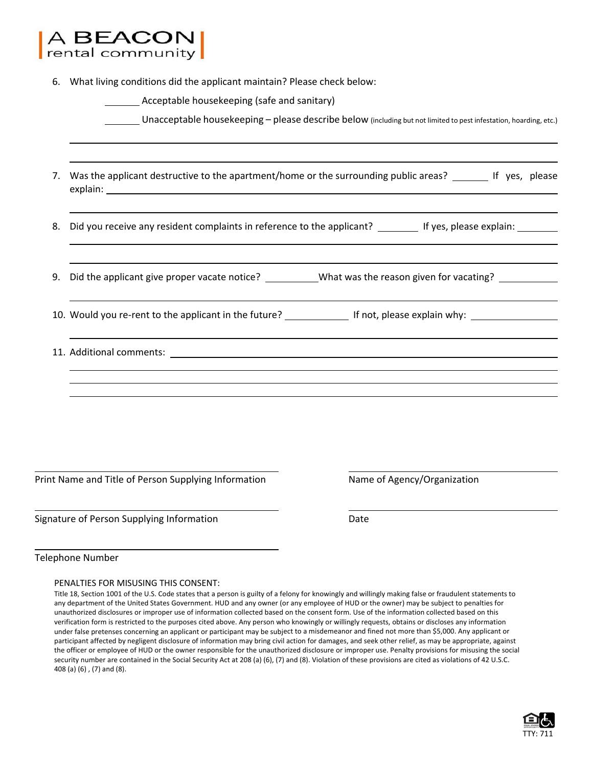|                                             | <b>BEACON</b><br>rental community                                                                                                                                                                                              |  |  |  |  |  |
|---------------------------------------------|--------------------------------------------------------------------------------------------------------------------------------------------------------------------------------------------------------------------------------|--|--|--|--|--|
| 6.                                          | What living conditions did the applicant maintain? Please check below:                                                                                                                                                         |  |  |  |  |  |
| Acceptable housekeeping (safe and sanitary) |                                                                                                                                                                                                                                |  |  |  |  |  |
|                                             | Unacceptable housekeeping - please describe below (including but not limited to pest infestation, hoarding, etc.)                                                                                                              |  |  |  |  |  |
| 7.                                          | Was the applicant destructive to the apartment/home or the surrounding public areas? ______ If yes, please                                                                                                                     |  |  |  |  |  |
| 8.                                          | Did you receive any resident complaints in reference to the applicant? ________ If yes, please explain: ______                                                                                                                 |  |  |  |  |  |
| 9.                                          | Did the applicant give proper vacate notice? ___________What was the reason given for vacating? _____________                                                                                                                  |  |  |  |  |  |
|                                             |                                                                                                                                                                                                                                |  |  |  |  |  |
|                                             | 11. Additional comments: with a state of the state of the state of the state of the state of the state of the state of the state of the state of the state of the state of the state of the state of the state of the state of |  |  |  |  |  |
|                                             |                                                                                                                                                                                                                                |  |  |  |  |  |
|                                             |                                                                                                                                                                                                                                |  |  |  |  |  |
|                                             | Print Name and Title of Person Supplying Information<br>Name of Agency/Organization                                                                                                                                            |  |  |  |  |  |

Signature of Person Supplying Information **Base** Date

Telephone Number

#### PENALTIES FOR MISUSING THIS CONSENT:

<u> 1989 - Johann Barbara, martxa alemaniar arg</u>

Title 18, Section 1001 of the U.S. Code states that a person is guilty of a felony for knowingly and willingly making false or fraudulent statements to any department of the United States Government. HUD and any owner (or any employee of HUD or the owner) may be subject to penalties for unauthorized disclosures or improper use of information collected based on the consent form. Use of the information collected based on this verification form is restricted to the purposes cited above. Any person who knowingly or willingly requests, obtains or discloses any information under false pretenses concerning an applicant or participant may be subject to a misdemeanor and fined not more than \$5,000. Any applicant or participant affected by negligent disclosure of information may bring civil action for damages, and seek other relief, as may be appropriate, against the officer or employee of HUD or the owner responsible for the unauthorized disclosure or improper use. Penalty provisions for misusing the social security number are contained in the Social Security Act at 208 (a) (6), (7) and (8). Violation of these provisions are cited as violations of 42 U.S.C. 408 (a) (6) , (7) and (8).

<u> 2008 - Andrea San Andrea San Andrea San Andrea San Andrea San Andrea San Andrea San Andrea San Andrea San A</u>